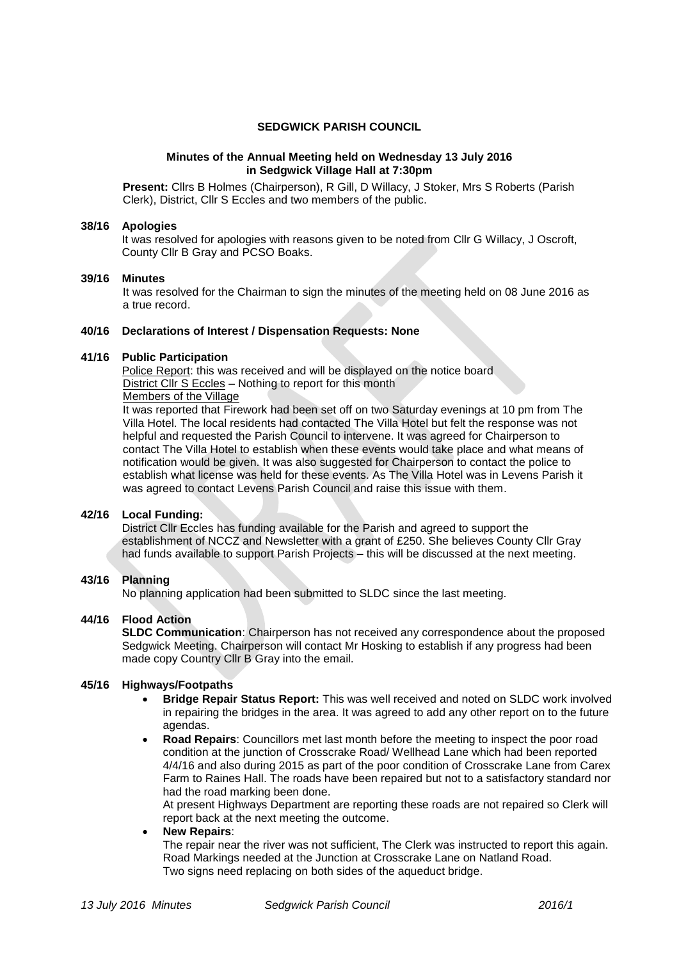## **SEDGWICK PARISH COUNCIL**

### **Minutes of the Annual Meeting held on Wednesday 13 July 2016 in Sedgwick Village Hall at 7:30pm**

**Present:** Cllrs B Holmes (Chairperson), R Gill, D Willacy, J Stoker, Mrs S Roberts (Parish Clerk), District, Cllr S Eccles and two members of the public.

### **38/16 Apologies**

It was resolved for apologies with reasons given to be noted from Cllr G Willacy, J Oscroft, County Cllr B Gray and PCSO Boaks.

### **39/16 Minutes**

It was resolved for the Chairman to sign the minutes of the meeting held on 08 June 2016 as a true record.

### **40/16 Declarations of Interest / Dispensation Requests: None**

### **41/16 Public Participation**

Police Report: this was received and will be displayed on the notice board District Cllr S Eccles – Nothing to report for this month

### Members of the Village

It was reported that Firework had been set off on two Saturday evenings at 10 pm from The Villa Hotel. The local residents had contacted The Villa Hotel but felt the response was not helpful and requested the Parish Council to intervene. It was agreed for Chairperson to contact The Villa Hotel to establish when these events would take place and what means of notification would be given. It was also suggested for Chairperson to contact the police to establish what license was held for these events. As The Villa Hotel was in Levens Parish it was agreed to contact Levens Parish Council and raise this issue with them.

### **42/16 Local Funding:**

District Cllr Eccles has funding available for the Parish and agreed to support the establishment of NCCZ and Newsletter with a grant of £250. She believes County Cllr Gray had funds available to support Parish Projects – this will be discussed at the next meeting.

## **43/16 Planning**

No planning application had been submitted to SLDC since the last meeting.

# **44/16 Flood Action**

**SLDC Communication:** Chairperson has not received any correspondence about the proposed Sedgwick Meeting. Chairperson will contact Mr Hosking to establish if any progress had been made copy Country Cllr B Gray into the email.

### **45/16 Highways/Footpaths**

- **Bridge Repair Status Report:** This was well received and noted on SLDC work involved in repairing the bridges in the area. It was agreed to add any other report on to the future agendas.
- **Road Repairs**: Councillors met last month before the meeting to inspect the poor road condition at the junction of Crosscrake Road/ Wellhead Lane which had been reported 4/4/16 and also during 2015 as part of the poor condition of Crosscrake Lane from Carex Farm to Raines Hall. The roads have been repaired but not to a satisfactory standard nor had the road marking been done.

At present Highways Department are reporting these roads are not repaired so Clerk will report back at the next meeting the outcome.

### **New Repairs**:

The repair near the river was not sufficient, The Clerk was instructed to report this again. Road Markings needed at the Junction at Crosscrake Lane on Natland Road. Two signs need replacing on both sides of the aqueduct bridge.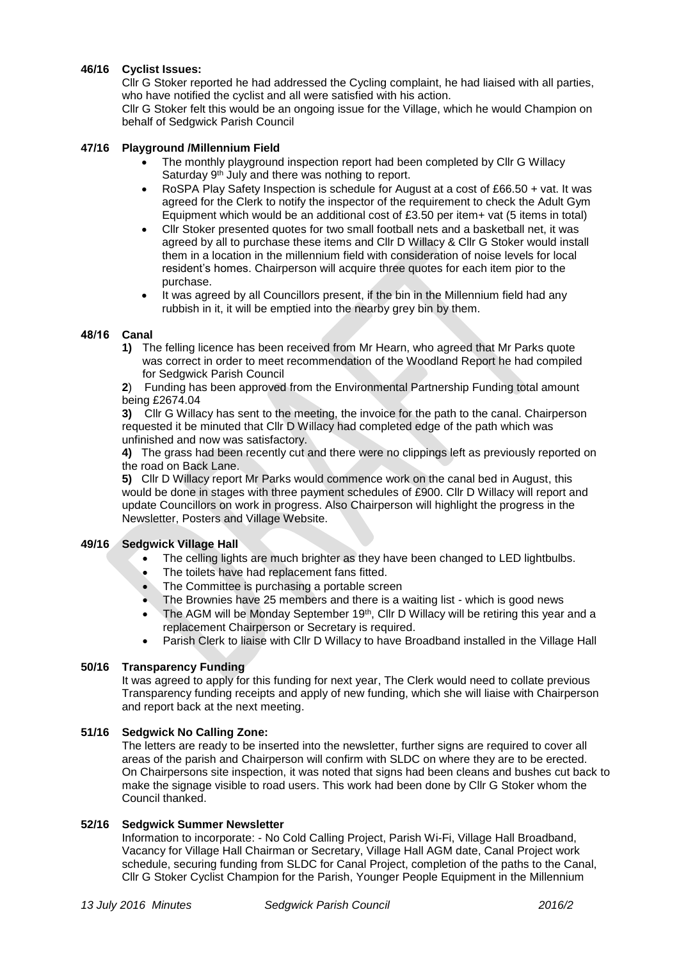# **46/16 Cyclist Issues:**

Cllr G Stoker reported he had addressed the Cycling complaint, he had liaised with all parties, who have notified the cyclist and all were satisfied with his action.

Cllr G Stoker felt this would be an ongoing issue for the Village, which he would Champion on behalf of Sedgwick Parish Council

### **47/16 Playground /Millennium Field**

- The monthly playground inspection report had been completed by Cllr G Willacy Saturday 9<sup>th</sup> July and there was nothing to report.
- RoSPA Play Safety Inspection is schedule for August at a cost of £66.50 + vat. It was agreed for the Clerk to notify the inspector of the requirement to check the Adult Gym Equipment which would be an additional cost of £3.50 per item+ vat (5 items in total)
- Cllr Stoker presented quotes for two small football nets and a basketball net, it was agreed by all to purchase these items and Cllr D Willacy & Cllr G Stoker would install them in a location in the millennium field with consideration of noise levels for local resident's homes. Chairperson will acquire three quotes for each item pior to the purchase.
- It was agreed by all Councillors present, if the bin in the Millennium field had any rubbish in it, it will be emptied into the nearby grey bin by them.

## **48/16 Canal**

**1)** The felling licence has been received from Mr Hearn, who agreed that Mr Parks quote was correct in order to meet recommendation of the Woodland Report he had compiled for Sedgwick Parish Council

**2**) Funding has been approved from the Environmental Partnership Funding total amount being £2674.04

**3)** Cllr G Willacy has sent to the meeting, the invoice for the path to the canal. Chairperson requested it be minuted that Cllr D Willacy had completed edge of the path which was unfinished and now was satisfactory.

**4)** The grass had been recently cut and there were no clippings left as previously reported on the road on Back Lane.

**5)** Cllr D Willacy report Mr Parks would commence work on the canal bed in August, this would be done in stages with three payment schedules of £900. Cllr D Willacy will report and update Councillors on work in progress. Also Chairperson will highlight the progress in the Newsletter, Posters and Village Website.

## **49/16 Sedgwick Village Hall**

- The celling lights are much brighter as they have been changed to LED lightbulbs.
	- The toilets have had replacement fans fitted.
	- The Committee is purchasing a portable screen
	- The Brownies have 25 members and there is a waiting list which is good news
	- The AGM will be Monday September 19<sup>th</sup>, Cllr D Willacy will be retiring this year and a replacement Chairperson or Secretary is required.
	- Parish Clerk to liaise with Cllr D Willacy to have Broadband installed in the Village Hall

### **50/16 Transparency Funding**

It was agreed to apply for this funding for next year, The Clerk would need to collate previous Transparency funding receipts and apply of new funding, which she will liaise with Chairperson and report back at the next meeting.

### **51/16 Sedgwick No Calling Zone:**

The letters are ready to be inserted into the newsletter, further signs are required to cover all areas of the parish and Chairperson will confirm with SLDC on where they are to be erected. On Chairpersons site inspection, it was noted that signs had been cleans and bushes cut back to make the signage visible to road users. This work had been done by Cllr G Stoker whom the Council thanked.

### **52/16 Sedgwick Summer Newsletter**

Information to incorporate: - No Cold Calling Project, Parish Wi-Fi, Village Hall Broadband, Vacancy for Village Hall Chairman or Secretary, Village Hall AGM date, Canal Project work schedule, securing funding from SLDC for Canal Project, completion of the paths to the Canal, Cllr G Stoker Cyclist Champion for the Parish, Younger People Equipment in the Millennium